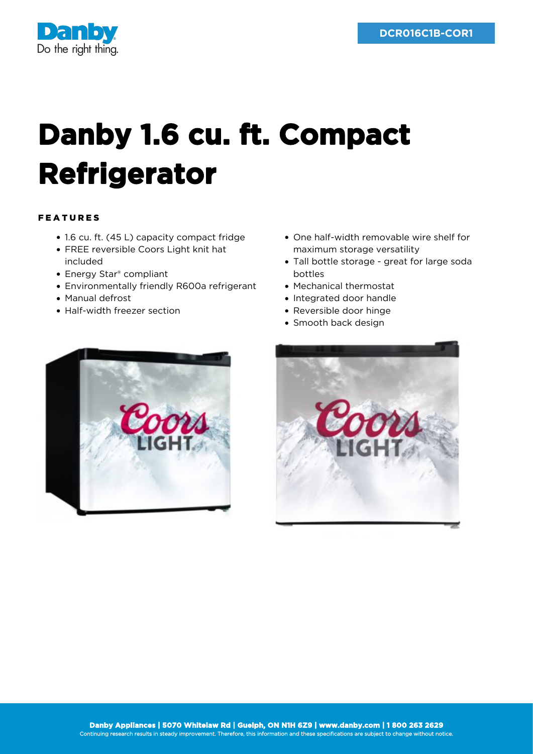

## **Danby 1.6 cu. ft. Compact Refrigerator**

## FEATURES

- 1.6 cu. ft. (45 L) capacity compact fridge
- FREE reversible Coors Light knit hat included
- Energy Star<sup>®</sup> compliant
- Environmentally friendly R600a refrigerant
- Manual defrost
- Half-width freezer section
- One half-width removable wire shelf for maximum storage versatility
- Tall bottle storage great for large soda bottles
- Mechanical thermostat
- Integrated door handle
- Reversible door hinge
- Smooth back design